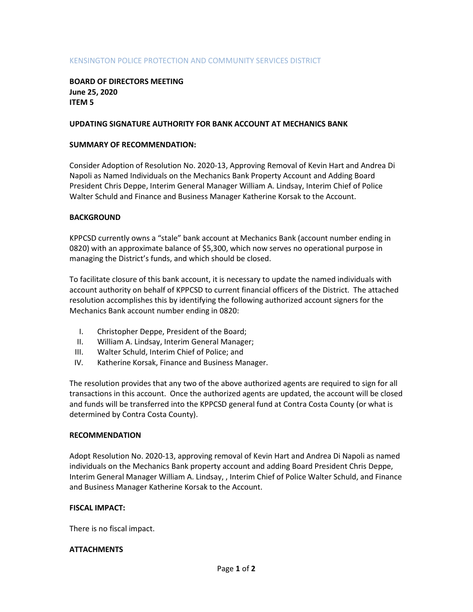# KENSINGTON POLICE PROTECTION AND COMMUNITY SERVICES DISTRICT

## BOARD OF DIRECTORS MEETING June 25, 2020 ITEM 5

### UPDATING SIGNATURE AUTHORITY FOR BANK ACCOUNT AT MECHANICS BANK

### SUMMARY OF RECOMMENDATION:

Consider Adoption of Resolution No. 2020-13, Approving Removal of Kevin Hart and Andrea Di Napoli as Named Individuals on the Mechanics Bank Property Account and Adding Board President Chris Deppe, Interim General Manager William A. Lindsay, Interim Chief of Police Walter Schuld and Finance and Business Manager Katherine Korsak to the Account.

## BACKGROUND

KPPCSD currently owns a "stale" bank account at Mechanics Bank (account number ending in 0820) with an approximate balance of \$5,300, which now serves no operational purpose in managing the District's funds, and which should be closed.

To facilitate closure of this bank account, it is necessary to update the named individuals with account authority on behalf of KPPCSD to current financial officers of the District. The attached resolution accomplishes this by identifying the following authorized account signers for the Mechanics Bank account number ending in 0820:

- I. Christopher Deppe, President of the Board;
- II. William A. Lindsay, Interim General Manager;
- III. Walter Schuld, Interim Chief of Police; and
- IV. Katherine Korsak, Finance and Business Manager.

The resolution provides that any two of the above authorized agents are required to sign for all transactions in this account. Once the authorized agents are updated, the account will be closed and funds will be transferred into the KPPCSD general fund at Contra Costa County (or what is determined by Contra Costa County).

### RECOMMENDATION

Adopt Resolution No. 2020-13, approving removal of Kevin Hart and Andrea Di Napoli as named individuals on the Mechanics Bank property account and adding Board President Chris Deppe, Interim General Manager William A. Lindsay, , Interim Chief of Police Walter Schuld, and Finance and Business Manager Katherine Korsak to the Account.

### FISCAL IMPACT:

There is no fiscal impact.

### **ATTACHMENTS**